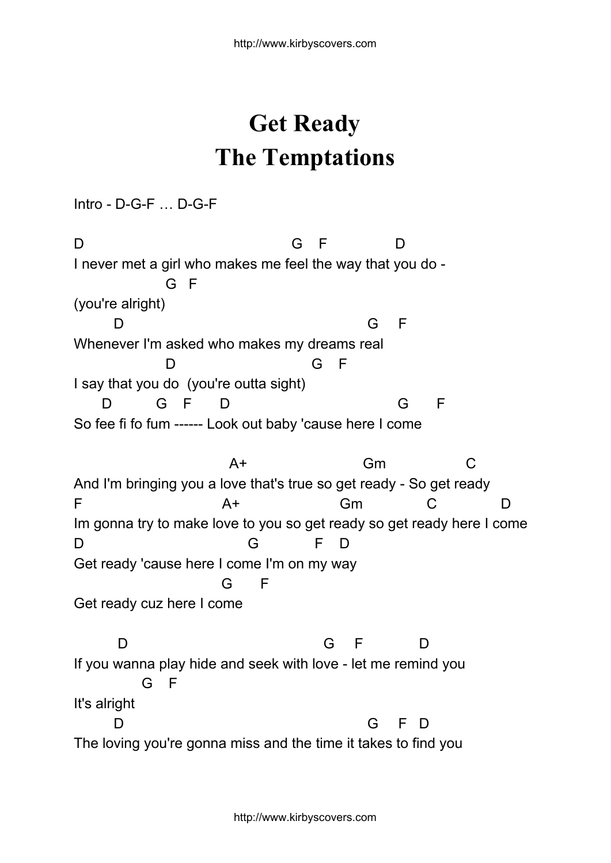## **Get Ready The Temptations**

Intro - D-G-F … D-G-F

D G F D I never met a girl who makes me feel the way that you do - G F (you're alright) D G F Whenever I'm asked who makes my dreams real D G F I say that you do (you're outta sight) D G F D G F So fee fi fo fum ------ Look out baby 'cause here I come A+ Gm C And I'm bringing you a love that's true so get ready - So get ready F A+ Gm C D Im gonna try to make love to you so get ready so get ready here I come D G F D Get ready 'cause here I come I'm on my way G F Get ready cuz here I come D G F D If you wanna play hide and seek with love - let me remind you G F It's alright D G F D The loving you're gonna miss and the time it takes to find you